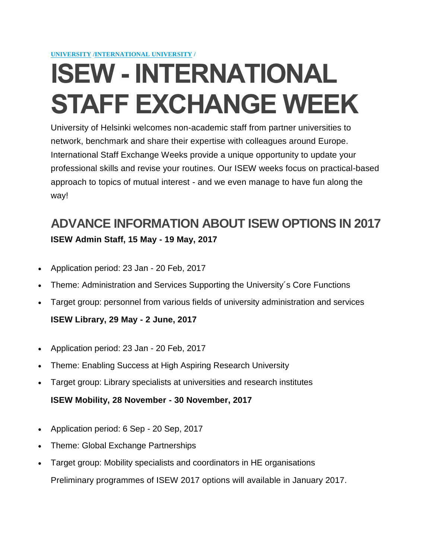**[UNIVERSITY](https://www.helsinki.fi/en/university) [/INTERNATIONAL UNIVERSITY](https://www.helsinki.fi/en/university/international-university) /**

# **ISEW - INTERNATIONAL STAFF EXCHANGE WEEK**

University of Helsinki welcomes non-academic staff from partner universities to network, benchmark and share their expertise with colleagues around Europe. International Staff Exchange Weeks provide a unique opportunity to update your professional skills and revise your routines. Our ISEW weeks focus on practical-based approach to topics of mutual interest - and we even manage to have fun along the way!

# **ADVANCE INFORMATION ABOUT ISEW OPTIONS IN 2017 ISEW Admin Staff, 15 May - 19 May, 2017**

- Application period: 23 Jan 20 Feb, 2017
- Theme: Administration and Services Supporting the University´s Core Functions
- Target group: personnel from various fields of university administration and services

#### **ISEW Library, 29 May - 2 June, 2017**

- Application period: 23 Jan 20 Feb, 2017
- Theme: Enabling Success at High Aspiring Research University
- Target group: Library specialists at universities and research institutes

**ISEW Mobility, 28 November - 30 November, 2017**

- Application period: 6 Sep 20 Sep, 2017
- Theme: Global Exchange Partnerships
- Target group: Mobility specialists and coordinators in HE organisations

Preliminary programmes of ISEW 2017 options will available in January 2017.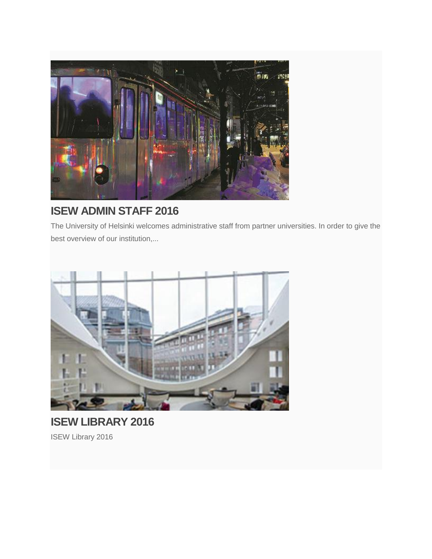

## **[ISEW ADMIN STAFF 2016](https://www.helsinki.fi/en/isew-admin-staff)**

The University of Helsinki [welcomes administrative staff from partner universities. In order to give the](https://www.helsinki.fi/en/isew-admin-staff)  [best overview of our institution,...](https://www.helsinki.fi/en/isew-admin-staff)



## **[ISEW LIBRARY 2016](https://www.helsinki.fi/en/ISEW%20Library%202016)** [ISEW Library 2016](https://www.helsinki.fi/en/ISEW%20Library%202016)